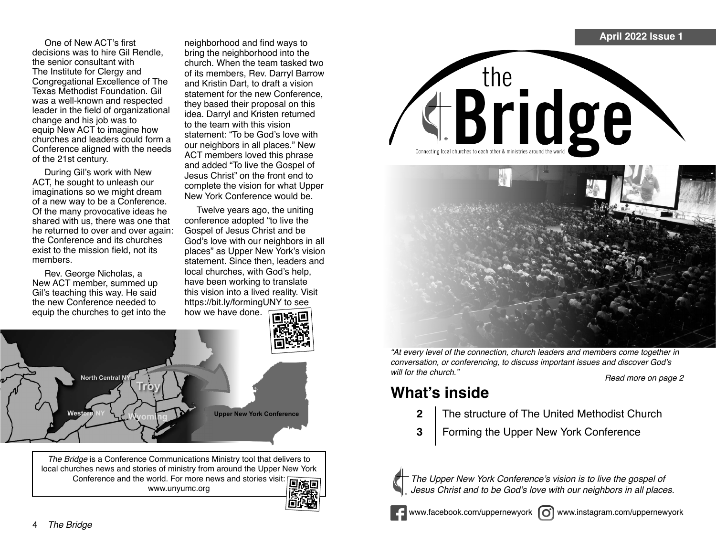One of New ACT's first decisions was to hire Gil Rendle, the senior consultant with The Institute for Clergy and Congregational Excellence of The Texas Methodist Foundation. Gil was a well-known and respected leader in the field of organizational change and his job was to equip New ACT to imagine how churches and leaders could form a Conference aligned with the needs of the 21st century.

During Gil's work with New ACT, he sought to unleash our imaginations so we might dream of a new way to be a Conference. Of the many provocative ideas he shared with us, there was one that he returned to over and over again: the Conference and its churches exist to the mission field, not its members.

Rev. George Nicholas, a New ACT member, summed up Gil's teaching this way. He said the new Conference needed to equip the churches to get into the neighborhood and find ways to bring the neighborhood into the church. When the team tasked two of its members, Rev. Darryl Barrow and Kristin Dart, to draft a vision statement for the new Conference, they based their proposal on this idea. Darryl and Kristen returned to the team with this vision statement: "To be God's love with our neighbors in all places." New ACT members loved this phrase and added "To live the Gospel of Jesus Christ" on the front end to complete the vision for what Upper New York Conference would be.

Twelve years ago, the uniting conference adopted "to live the Gospel of Jesus Christ and be God's love with our neighbors in all places" as Upper New York's vision statement. Since then, leaders and local churches, with God's help, have been working to translate this vision into a lived reality. Visit https://bit.ly/formingUNY to see how we have done.



*The Bridge* is a Conference Communications Ministry tool that delivers to local churches news and stories of ministry from around the Upper New York Conference and the world. For more news and stories visit: **Fig. 15** www.unyumc.org





"At every level of the connection, church leaders and members come together in conversation, or conferencing, to discuss important issues and discover God's Read more on page 2

### **What's inside**

- **2** The structure of The United Methodist Church
- **3** Forming the Upper New York Conference



The Upper New York Conference's vision is to live the gospel of Jesus Christ and to be God's love with our neighbors in all places.



www.facebook.com/uppernewyork  $\omega$  www.instagram.com/uppernewyork